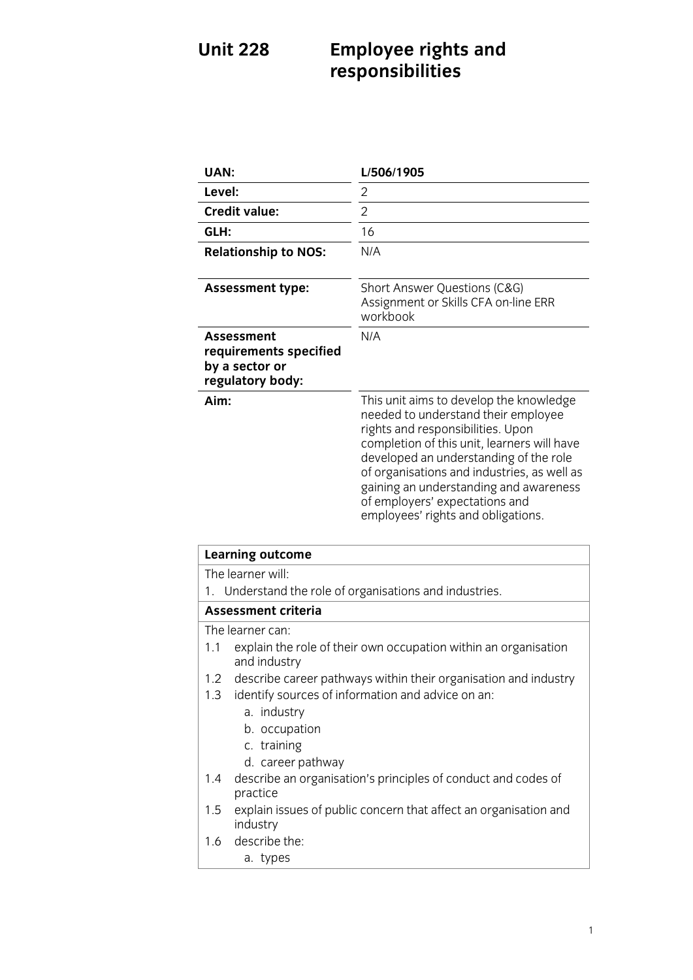## **Unit 228 Employee responsibilities responsibilities**

| <b>UAN:</b>                                                                                                                                                                                                                                                                                                                                  | L/506/1905                                                                                                                                                                                                                                                                                                                                                                    |
|----------------------------------------------------------------------------------------------------------------------------------------------------------------------------------------------------------------------------------------------------------------------------------------------------------------------------------------------|-------------------------------------------------------------------------------------------------------------------------------------------------------------------------------------------------------------------------------------------------------------------------------------------------------------------------------------------------------------------------------|
| Level:                                                                                                                                                                                                                                                                                                                                       | $\overline{2}$                                                                                                                                                                                                                                                                                                                                                                |
| <b>Credit value:</b>                                                                                                                                                                                                                                                                                                                         | $\overline{2}$                                                                                                                                                                                                                                                                                                                                                                |
| GLH:                                                                                                                                                                                                                                                                                                                                         | 16                                                                                                                                                                                                                                                                                                                                                                            |
| <b>Relationship to NOS:</b>                                                                                                                                                                                                                                                                                                                  | N/A                                                                                                                                                                                                                                                                                                                                                                           |
| <b>Assessment type:</b>                                                                                                                                                                                                                                                                                                                      | Short Answer Questions (C&G)<br>Assignment or Skills CFA on-line ERR<br>workbook                                                                                                                                                                                                                                                                                              |
| <b>Assessment</b><br>requirements specified<br>by a sector or<br>regulatory body:                                                                                                                                                                                                                                                            | N/A                                                                                                                                                                                                                                                                                                                                                                           |
| Aim:                                                                                                                                                                                                                                                                                                                                         | This unit aims to develop the knowledge<br>needed to understand their employee<br>rights and responsibilities. Upon<br>completion of this unit, learners will have<br>developed an understanding of the role<br>of organisations and industries, as well as<br>gaining an understanding and awareness<br>of employers' expectations and<br>employees' rights and obligations. |
| <b>Learning outcome</b>                                                                                                                                                                                                                                                                                                                      |                                                                                                                                                                                                                                                                                                                                                                               |
| The learner will:<br>Understand the role of organisations and industries.<br>1.                                                                                                                                                                                                                                                              |                                                                                                                                                                                                                                                                                                                                                                               |
| <b>Assessment criteria</b>                                                                                                                                                                                                                                                                                                                   |                                                                                                                                                                                                                                                                                                                                                                               |
| The learner can:<br>explain the role of their own occupation within an organisation<br>1.1<br>and industry<br>the second contract of the contract of the contract of the contract of the contract of the contract of the contract of the contract of the contract of the contract of the contract of the contract of the contract of the con |                                                                                                                                                                                                                                                                                                                                                                               |

- 1.2 describe career pathways within their organisation and industry
- 1.3 identify sources of information and advice on an:
	- a. industry
	- b. occupation
	- c. training
	- d. career pathway
- d.<br>caribo an organica  $\frac{1}{2}$  describe an organisation of conduct and conduct and conduct and conduct and conduct and conduct and codes of codes of codes of codes of codes of codes of codes of codes of codes of codes of codes of codes of cod
- r<br>ovnlain i  $\frac{1}{5}$  industry industry<br>1.6 describe the:
- 
- $1.6$  described the theory  $\frac{1}{\sqrt{1 + \frac{1}{2}}}$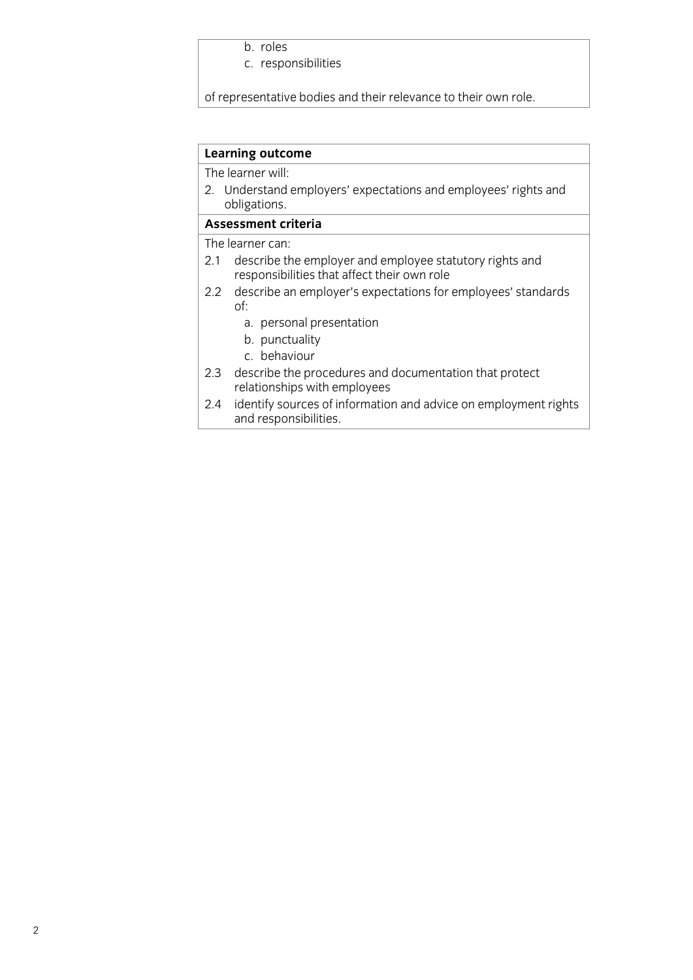b. roles<br>c. responsibilities c. responsibilities in the contract of the contract of the contract of the contract of the contract of the contract of the contract of the contract of the contract of the contract of the contract of the contract of the con

of representative bodies and their relevance to the their relevance to the internal terms of the internal terms<br>The internal terms of the internal terms of the internal terms of the internal terms of the internal terms of

# **Learning outcome**<br>The learner will:

2. Understand employers' expectations and employees' rights and obligations.

### Assessment criteria

The learner can:

- 2.1 describe the employer and employee statutory rights and responsibilities that affect their own role
- describe an employer's expectations for employees' standards  $2.2$  $\alpha$ <sup>2</sup>.  $\alpha$ <sup>2</sup> describe an employees' standards for employees' standards for employees' standards for employees' standards for employees' standards for employees' standards for employees' standards for employees' standa of:<br>a. personal presentation
	-
	- b. punctuality
	- c. behaviour
- describe the procedures and documentation that protect  $2.3$ relationships with employees
- identify sources of information and advice on employment rights and responsibilities. <u>and responsibilities.</u>